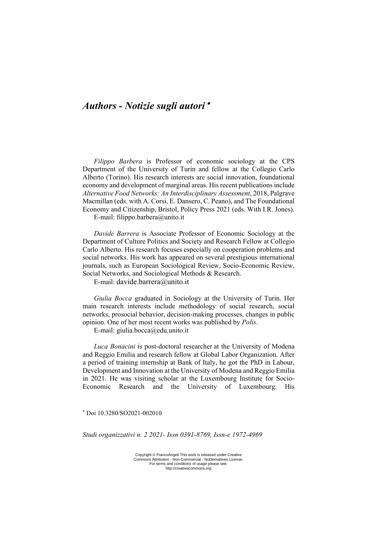## *Authors - Notizie sugli autori*

*Filippo Barbera* is Professor of economic sociology at the CPS Department of the University of Turin and fellow at the Collegio Carlo Alberto (Torino). His research interests are social innovation, foundational economy and development of marginal areas. His recent publications include *Alternative Food Networks: An Interdisciplinary Assessment*, 2018, Palgrave Macmillan (eds. with A. Corsi, E. Dansero, C. Peano), and The Foundational Economy and Citizenship, Bristol, Policy Press 2021 (eds. With I.R. Jones).

E-mail: filippo.barbera@unito.it

*Davide Barrera* is Associate Professor of Economic Sociology at the Department of Culture Politics and Society and Research Fellow at Collegio Carlo Alberto. His research focuses especially on cooperation problems and social networks. His work has appeared on several prestigious international journals, such as European Sociological Review, Socio-Economic Review, Social Networks, and Sociological Methods & Research.

E-mail: davide.barrera@unito.it

*Giulia Bocca* graduated in Sociology at the University of Turin. Her main research interests include methodology of social research, social networks, prosocial behavior, decision-making processes, changes in public opinion. One of her most recent works was published by *Polis*.

E-mail: giulia.bocca@edu.unito.it

*Luca Bonacini* is post-doctoral researcher at the University of Modena and Reggio Emilia and research fellow at Global Labor Organization. After a period of training internship at Bank of Italy, he got the PhD in Labour, Development and Innovation at the University of Modena and Reggio Emilia in 2021. He was visiting scholar at the Luxembourg Institute for Socio-Economic Research and the University of Luxembourg. His

Doi 10.3280/SO2021-002010

*Studi organizzativi n. 2 2021- Issn 0391-8769, Issn-e 1972-4969*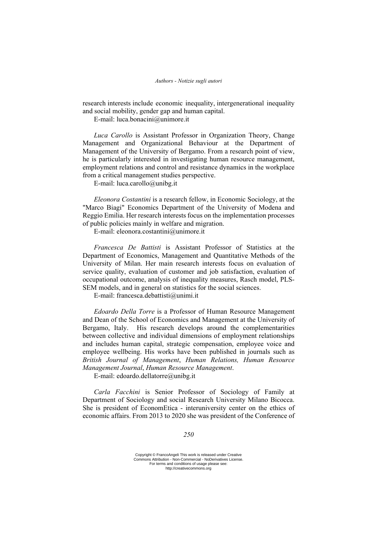research interests include economic inequality, intergenerational inequality and social mobility, gender gap and human capital.

E-mail: luca.bonacini@unimore.it

*Luca Carollo* is Assistant Professor in Organization Theory, Change Management and Organizational Behaviour at the Department of Management of the University of Bergamo. From a research point of view, he is particularly interested in investigating human resource management, employment relations and control and resistance dynamics in the workplace from a critical management studies perspective.

E-mail: luca.carollo@unibg.it

*Eleonora Costantini* is a research fellow, in Economic Sociology, at the "Marco Biagi" Economics Department of the University of Modena and Reggio Emilia. Her research interests focus on the implementation processes of public policies mainly in welfare and migration.

E-mail: eleonora.costantini@unimore.it

*Francesca De Battisti* is Assistant Professor of Statistics at the Department of Economics, Management and Quantitative Methods of the University of Milan. Her main research interests focus on evaluation of service quality, evaluation of customer and job satisfaction, evaluation of occupational outcome, analysis of inequality measures, Rasch model, PLS-SEM models, and in general on statistics for the social sciences.

E-mail: francesca.debattisti@unimi.it

*Edoardo Della Torre* is a Professor of Human Resource Management and Dean of the School of Economics and Management at the University of Bergamo, Italy. His research develops around the complementarities between collective and individual dimensions of employment relationships and includes human capital, strategic compensation, employee voice and employee wellbeing. His works have been published in journals such as *British Journal of Management*, *Human Relations, Human Resource Management Journal*, *Human Resource Management*.

E-mail: edoardo.dellatorre@unibg.it

*Carla Facchini* is Senior Professor of Sociology of Family at Department of Sociology and social Research University Milano Bicocca. She is president of EconomEtica - interuniversity center on the ethics of economic affairs. From 2013 to 2020 she was president of the Conference of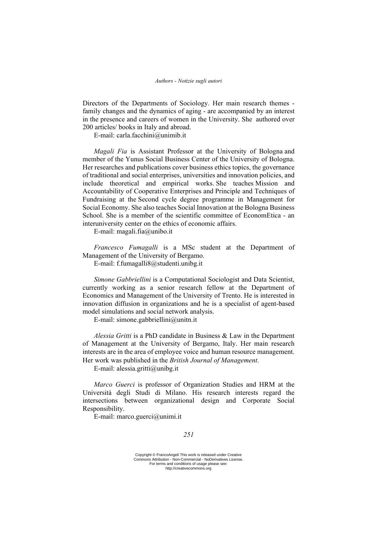Directors of the Departments of Sociology. Her main research themes family changes and the dynamics of aging - are accompanied by an interest in the presence and careers of women in the University. She authored over 200 articles/ books in Italy and abroad.

E-mail: carla.facchini@unimib.it

*Magali Fia* is Assistant Professor at the University of Bologna and member of the Yunus Social Business Center of the University of Bologna. Her researches and publications cover business ethics topics, the governance of traditional and social enterprises, universities and innovation policies, and include theoretical and empirical works. She teaches Mission and Accountability of Cooperative Enterprises and Principle and Techniques of Fundraising at the Second cycle degree programme in Management for Social Economy. She also teaches Social Innovation at the Bologna Business School. She is a member of the scientific committee of EconomEtica - an interuniversity center on the ethics of economic affairs.

E-mail: magali.fia@unibo.it

*Francesco Fumagalli* is a MSc student at the Department of Management of the University of Bergamo.

E-mail: f.fumagalli8@studenti.unibg.it

*Simone Gabbriellini* is a Computational Sociologist and Data Scientist, currently working as a senior research fellow at the Department of Economics and Management of the University of Trento. He is interested in innovation diffusion in organizations and he is a specialist of agent-based model simulations and social network analysis.

E-mail: simone.gabbriellini@unitn.it

*Alessia Gritti* is a PhD candidate in Business & Law in the Department of Management at the University of Bergamo, Italy. Her main research interests are in the area of employee voice and human resource management. Her work was published in the *British Journal of Management.* 

E-mail: alessia.gritti@unibg.it

*Marco Guerci* is professor of Organization Studies and HRM at the Università degli Studi di Milano. His research interests regard the intersections between organizational design and Corporate Social Responsibility.

E-mail: marco.guerci@unimi.it

## *251*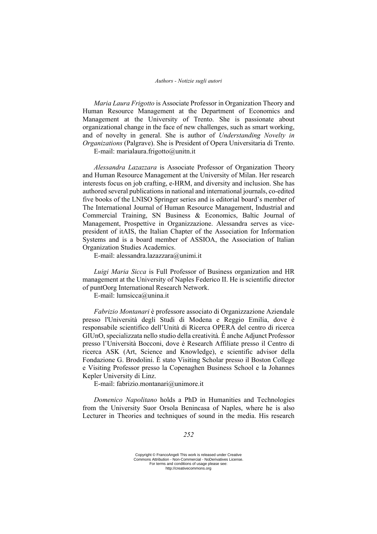*Maria Laura Frigotto* is Associate Professor in Organization Theory and Human Resource Management at the Department of Economics and Management at the University of Trento. She is passionate about organizational change in the face of new challenges, such as smart working, and of novelty in general. She is author of *Understanding Novelty in Organizations* (Palgrave). She is President of Opera Universitaria di Trento.

E-mail: marialaura.frigotto@unitn.it

*Alessandra Lazazzara* is Associate Professor of Organization Theory and Human Resource Management at the University of Milan. Her research interests focus on job crafting, e-HRM, and diversity and inclusion. She has authored several publications in national and international journals, co-edited five books of the LNISO Springer series and is editorial board's member of The International Journal of Human Resource Management, Industrial and Commercial Training, SN Business & Economics, Baltic Journal of Management, Prospettive in Organizzazione. Alessandra serves as vicepresident of itAIS, the Italian Chapter of the Association for Information Systems and is a board member of ASSIOA, the Association of Italian Organization Studies Academics.

E-mail: alessandra.lazazzara@unimi.it

*Luigi Maria Sicca* is Full Professor of Business organization and HR management at the University of Naples Federico II. He is scientific director of puntOorg International Research Network.

E-mail: lumsicca@unina.it

*Fabrizio Montanari* è professore associato di Organizzazione Aziendale presso l'Università degli Studi di Modena e Reggio Emilia, dove è responsabile scientifico dell'Unità di Ricerca OPERA del centro di ricerca GIUnO, specializzata nello studio della creatività. È anche Adjunct Professor presso l'Università Bocconi, dove è Research Affiliate presso il Centro di ricerca ASK (Art, Science and Knowledge), e scientific advisor della Fondazione G. Brodolini. È stato Visiting Scholar presso il Boston College e Visiting Professor presso la Copenaghen Business School e la Johannes Kepler University di Linz.

E-mail: fabrizio.montanari@unimore.it

*Domenico Napolitano* holds a PhD in Humanities and Technologies from the University Suor Orsola Benincasa of Naples, where he is also Lecturer in Theories and techniques of sound in the media. His research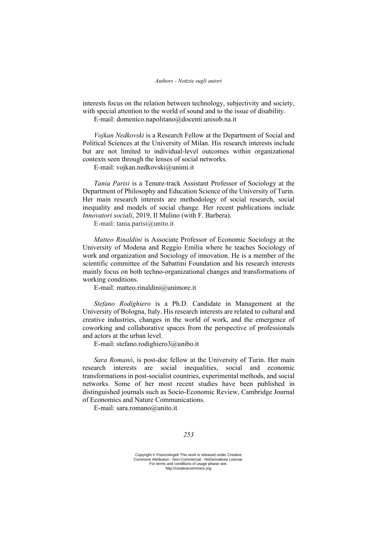interests focus on the relation between technology, subjectivity and society, with special attention to the world of sound and to the issue of disability.

E-mail: domenico.napolitano@docenti.unisob.na.it

*Vojkan Nedkovski* is a Research Fellow at the Department of Social and Political Sciences at the University of Milan. His research interests include but are not limited to individual-level outcomes within organizational contexts seen through the lenses of social networks.

E-mail: vojkan.nedkovski@unimi.it

*Tania Parisi* is a Tenure-track Assistant Professor of Sociology at the Department of Philosophy and Education Science of the University of Turin. Her main research interests are methodology of social research, social inequality and models of social change. Her recent publications include *Innovatori sociali*, 2019, Il Mulino (with F. Barbera).

E-mail: tania.parisi@unito.it

*Matteo Rinaldini* is Associate Professor of Economic Sociology at the University of Modena and Reggio Emilia where he teaches Sociology of work and organization and Sociology of innovation. He is a member of the scientific committee of the Sabattini Foundation and his research interests mainly focus on both techno-organizational changes and transformations of working conditions.

E-mail: matteo.rinaldini@unimore.it

*Stefano Rodighiero* is a Ph.D. Candidate in Management at the University of Bologna, Italy. His research interests are related to cultural and creative industries, changes in the world of work, and the emergence of coworking and collaborative spaces from the perspective of professionals and actors at the urban level.

E-mail: stefano.rodighiero3@unibo.it

*Sara Romanò*, is post-doc fellow at the University of Turin. Her main research interests are social inequalities, social and economic transformations in post-socialist countries, experimental methods, and social networks. Some of her most recent studies have been published in distinguished journals such as Socio-Economic Review, Cambridge Journal of Economics and Nature Communications.

E-mail: sara.romano@unito.it